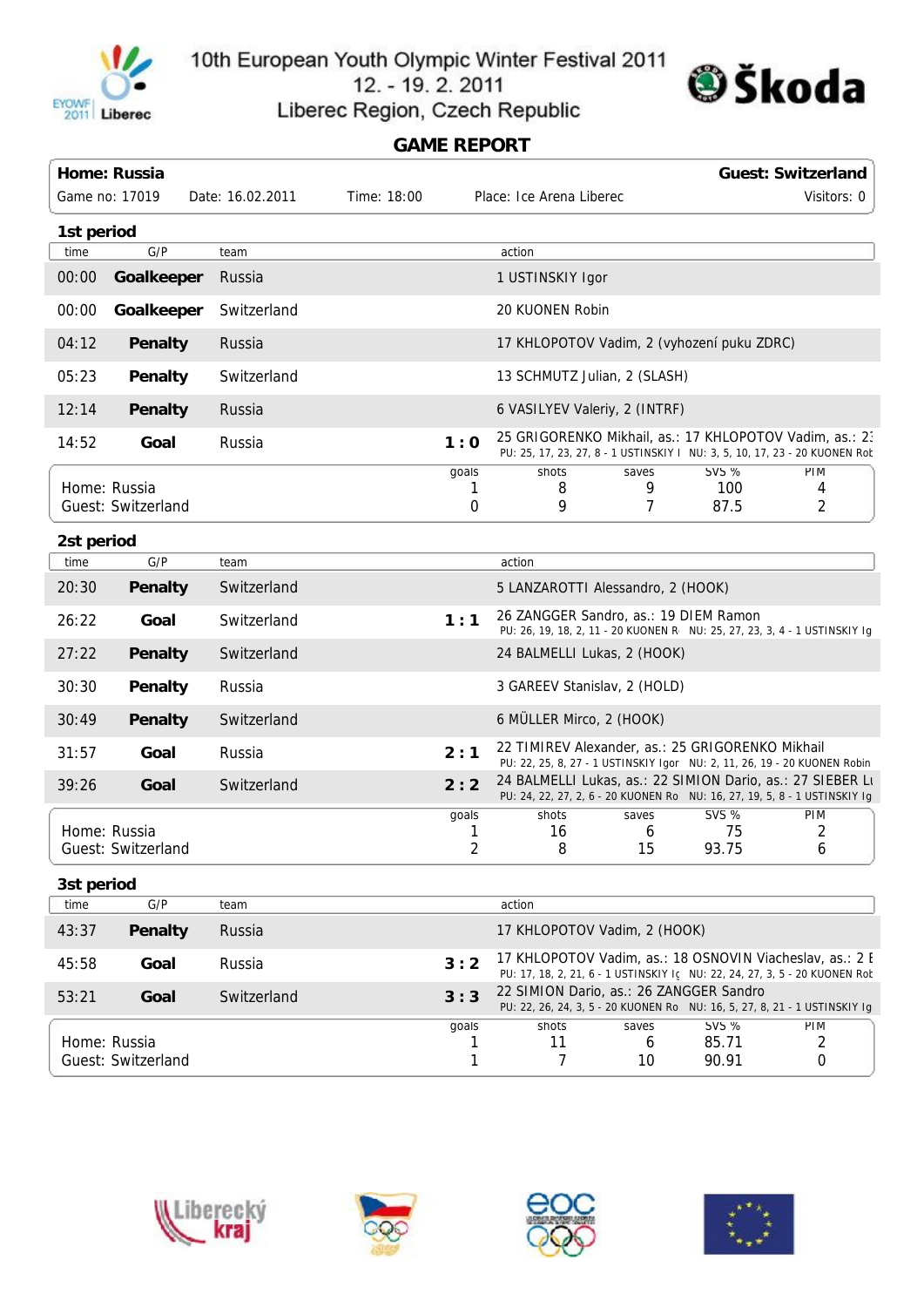

10th European Youth Olympic Winter Festival 2011

12. - 19. 2. 2011





## **GAME REPORT**

|            | Home: Russia                       |                  |                 |                                 |                                                                                                                                        |                  |                                | <b>Guest: Switzerland</b>                                                  |  |
|------------|------------------------------------|------------------|-----------------|---------------------------------|----------------------------------------------------------------------------------------------------------------------------------------|------------------|--------------------------------|----------------------------------------------------------------------------|--|
|            | Game no: 17019                     | Date: 16.02.2011 | Time: 18:00     |                                 | Place: Ice Arena Liberec                                                                                                               |                  |                                | Visitors: 0                                                                |  |
| 1st period |                                    |                  |                 |                                 |                                                                                                                                        |                  |                                |                                                                            |  |
| time       | G/P                                | team             |                 |                                 | action                                                                                                                                 |                  |                                |                                                                            |  |
| 00:00      | Goalkeeper                         | Russia           |                 |                                 | 1 USTINSKIY Igor                                                                                                                       |                  |                                |                                                                            |  |
| 00:00      | Goalkeeper                         | Switzerland      | 20 KUONEN Robin |                                 |                                                                                                                                        |                  |                                |                                                                            |  |
| 04:12      | Penalty                            | Russia           |                 |                                 | 17 KHLOPOTOV Vadim, 2 (vyhození puku ZDRC)                                                                                             |                  |                                |                                                                            |  |
| 05:23      | Penalty                            | Switzerland      |                 |                                 | 13 SCHMUTZ Julian, 2 (SLASH)                                                                                                           |                  |                                |                                                                            |  |
| 12:14      | Penalty                            | Russia           |                 |                                 | 6 VASILYEV Valeriy, 2 (INTRF)                                                                                                          |                  |                                |                                                                            |  |
| 14:52      | Goal                               | Russia           |                 | 1:0                             | 25 GRIGORENKO Mikhail, as.: 17 KHLOPOTOV Vadim, as.: 23<br>PU: 25, 17, 23, 27, 8 - 1 USTINSKIY   NU: 3, 5, 10, 17, 23 - 20 KUONEN Rot  |                  |                                |                                                                            |  |
|            | Home: Russia<br>Guest: Switzerland |                  |                 | goals<br>ı.<br>$\boldsymbol{0}$ | shots<br>8<br>9                                                                                                                        | saves<br>9<br>7  | <b>SVS %</b><br>100<br>87.5    | PIM<br>4<br>2                                                              |  |
| 2st period |                                    |                  |                 |                                 |                                                                                                                                        |                  |                                |                                                                            |  |
| time       | G/P                                | team             |                 |                                 | action                                                                                                                                 |                  |                                |                                                                            |  |
| 20:30      | Penalty                            | Switzerland      |                 |                                 | 5 LANZAROTTI Alessandro, 2 (HOOK)                                                                                                      |                  |                                |                                                                            |  |
| 26:22      | Goal                               | Switzerland      |                 | 1:1                             | 26 ZANGGER Sandro, as.: 19 DIEM Ramon<br>PU: 26, 19, 18, 2, 11 - 20 KUONEN R NU: 25, 27, 23, 3, 4 - 1 USTINSKIY Ig                     |                  |                                |                                                                            |  |
| 27:22      | <b>Penalty</b>                     | Switzerland      |                 |                                 | 24 BALMELLI Lukas, 2 (HOOK)                                                                                                            |                  |                                |                                                                            |  |
| 30:30      | <b>Penalty</b>                     | Russia           |                 |                                 | 3 GAREEV Stanislav, 2 (HOLD)                                                                                                           |                  |                                |                                                                            |  |
| 30:49      | <b>Penalty</b>                     | Switzerland      |                 |                                 | 6 MÜLLER Mirco, 2 (HOOK)                                                                                                               |                  |                                |                                                                            |  |
| 31:57      | Goal                               | Russia           |                 | 2:1                             | 22 TIMIREV Alexander, as.: 25 GRIGORENKO Mikhail<br>PU: 22, 25, 8, 27 - 1 USTINSKIY Igor NU: 2, 11, 26, 19 - 20 KUONEN Robin           |                  |                                |                                                                            |  |
| 39:26      | Goal                               | Switzerland      |                 | 2:2                             | 24 BALMELLI Lukas, as.: 22 SIMION Dario, as.: 27 SIEBER Lt                                                                             |                  |                                | PU: 24, 22, 27, 2, 6 - 20 KUONEN Rol NU: 16, 27, 19, 5, 8 - 1 USTINSKIY Ig |  |
|            | Home: Russia<br>Guest: Switzerland |                  |                 | goals<br>1<br>$\overline{2}$    | shots<br>16<br>8                                                                                                                       | saves<br>6<br>15 | <b>SVS %</b><br>75<br>93.75    | PIM<br>2<br>6                                                              |  |
| 3st period |                                    |                  |                 |                                 |                                                                                                                                        |                  |                                |                                                                            |  |
| time       | G/P                                | team             |                 |                                 | action                                                                                                                                 |                  |                                |                                                                            |  |
| 43:37      | <b>Penalty</b>                     | Russia           |                 |                                 | 17 KHLOPOTOV Vadim, 2 (HOOK)                                                                                                           |                  |                                |                                                                            |  |
| 45:58      | Goal                               | Russia           |                 | 3:2                             | 17 KHLOPOTOV Vadim, as.: 18 OSNOVIN Viacheslav, as.: 2 E<br>PU: 17, 18, 2, 21, 6 - 1 USTINSKIY Ic NU: 22, 24, 27, 3, 5 - 20 KUONEN Rob |                  |                                |                                                                            |  |
| 53:21      | Goal                               | Switzerland      |                 | 3:3                             | 22 SIMION Dario, as.: 26 ZANGGER Sandro<br>PU: 22, 26, 24, 3, 5 - 20 KUONEN Rol NU: 16, 5, 27, 8, 21 - 1 USTINSKIY Igr                 |                  |                                |                                                                            |  |
|            | Home: Russia<br>Guest: Switzerland |                  |                 | goals<br>T<br>1                 | shots<br>11<br>7                                                                                                                       | saves<br>6<br>10 | <b>SVS %</b><br>85.71<br>90.91 | <b>PIM</b><br>2<br>0                                                       |  |